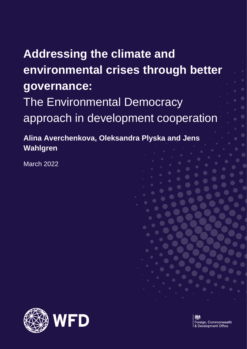# **Addressing the climate and environmental crises through better governance:** The Environmental Democracy approach in development cooperation

**Alina Averchenkova, Oleksandra Plyska and Jens Wahlgren**

March 2022

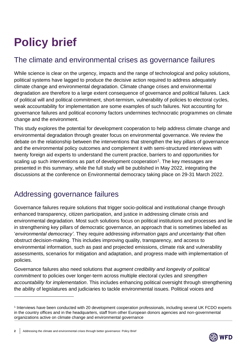# **Policy brief**

# The climate and environmental crises as governance failures

While science is clear on the urgency, impacts and the range of technological and policy solutions, political systems have lagged to produce the decisive action required to address adequately climate change and environmental degradation. Climate change crises and environmental degradation are therefore to a large extent consequence of governance and political failures. Lack of political will and political commitment, short-termism, vulnerability of policies to electoral cycles, weak accountability for implementation are some examples of such failures. Not accounting for governance failures and political economy factors undermines technocratic programmes on climate change and the environment.

This study explores the potential for development cooperation to help address climate change and environmental degradation through greater focus on environmental governance. We review the debate on the relationship between the interventions that strengthen the key pillars of governance and the environmental policy outcomes and complement it with semi-structured interviews with twenty foreign aid experts to understand the current practice, barriers to and opportunities for scaling up such interventions as part of development cooperation<sup>1</sup>. The key messages are presented in this summary, while the full study will be published in May 2022, integrating the discussions at the conference on Environmental democracy taking place on 29-31 March 2022.

## Addressing governance failures

Governance failures require solutions that trigger socio-political and institutional change through enhanced transparency, citizen participation, and justice in addressing climate crisis and environmental degradation. Most such solutions focus on political institutions and processes and lie in strengthening key pillars of democratic governance, an approach that is sometimes labelled as '*environmental democracy'*. They require addressing *information gaps and uncertainty* that often obstruct decision-making. This includes improving quality, transparency, and access to environmental information, such as past and projected emissions, climate risk and vulnerability assessments, scenarios for mitigation and adaptation, and progress made with implementation of policies.

Governance failures also need solutions that *augment credibility and longevity of political commitment* to policies over longer-term across multiple electoral cycles and *strengthen accountability for implementation*. This includes enhancing political oversight through strengthening the ability of legislatures and judiciaries to tackle environmental issues. Political voices and

2 Addressing the climate and environmental crises through better governance: Policy Brief



<sup>1</sup> Interviews have been conducted with 20 development cooperation professionals, including several UK FCDO experts in the country offices and in the headquarters, staff from other European donors agencies and non-governmental organizations active on climate change and environmental governance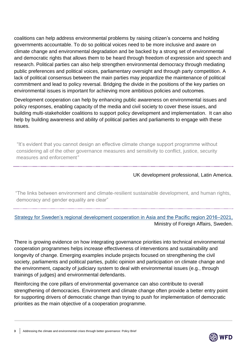coalitions can help address environmental problems by raising citizen's concerns and holding governments accountable. To do so political voices need to be more inclusive and aware on climate change and environmental degradation and be backed by a strong set of environmental and democratic rights that allows them to be heard through freedom of expression and speech and research. Political parties can also help strengthen environmental democracy through mediating public preferences and political voices, parliamentary oversight and through party competition. A lack of political consensus between the main parties may jeopardize the maintenance of political commitment and lead to policy reversal. Bridging the divide in the positions of the key parties on environmental issues is important for achieving more ambitious policies and outcomes.  

Development cooperation can help by enhancing public awareness on environmental issues and policy responses, enabling capacity of the media and civil society to cover these issues, and building multi-stakeholder coalitions to support policy development and implementation. It can also help by building awareness and ability of political parties and parliaments to engage with these issues.

 "It's evident that you cannot design an effective climate change support programme without considering all of the other governance measures and sensitivity to conflict, justice, security measures and enforcement*"*

#### UK development professional, Latin America.

"The links between environment and climate-resilient sustainable development, and human rights, democracy and gender equality are clear"

[Strategy for Sweden's regional development cooperation in Asia and the Pacific region 2016–2021,](https://www.government.se/4a6b76/contentassets/4be274e3951b4c269553956c442214db/strategy-for-swedens-regional-development-cooperation-in-asia-and-the-pacific-region-20162021.pdf) Ministry of Foreign Affairs, Sweden.

There is growing evidence on how integrating governance priorities into technical environmental cooperation programmes helps increase effectiveness of interventions and sustainability and longevity of change. Emerging examples include projects focused on strengthening the civil society, parliaments and political parties, public opinion and participation on climate change and the environment, capacity of judiciary system to deal with environmental issues (e.g., through trainings of judges) and environmental defendants.

Reinforcing the core pillars of environmental governance can also contribute to overall strengthening of democracies. Environment and climate change often provide a better entry point for supporting drivers of democratic change than trying to push for implementation of democratic priorities as the main objective of a cooperation programme.

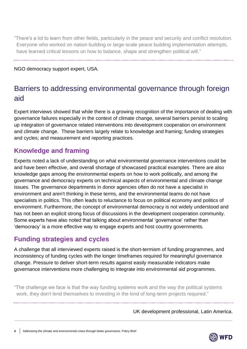"There's a lot to learn from other fields, particularly in the peace and security and conflict resolution. Everyone who worked on nation building or large-scale peace building implementation attempts, have learned critical lessons on how to balance, shape and strengthen political will."

NGO democracy support expert, USA.

# Barriers to addressing environmental governance through foreign aid

Expert interviews showed that while there is a growing recognition of the importance of dealing with governance failures especially in the context of climate change, several barriers persist to scaling up integration of governance related interventions into development cooperation on environment and climate change. These barriers largely relate to knowledge and framing; funding strategies and cycles; and measurement and reporting practices.

## **Knowledge and framing**

Experts noted a lack of understanding on what environmental governance interventions could be and have been effective, and overall shortage of showcased practical examples. There are also knowledge gaps among the environmental experts on how to work politically, and among the governance and democracy experts on technical aspects of environmental and climate change issues. The governance departments in donor agencies often do not have a specialist in environment and aren't thinking in these terms, and the environmental teams do not have specialists in politics. This often leads to reluctance to focus on political economy and politics of environment. Furthermore, the concept of environmental democracy is not widely understood and has not been an explicit strong focus of discussions in the development cooperation community. Some experts have also noted that talking about environmental 'governance' rather than 'democracy' is a more effective way to engage experts and host country governments.

### **Funding strategies and cycles**

A challenge that all interviewed experts raised is the short-termism of funding programmes, and inconsistency of funding cycles with the longer timeframes required for meaningful governance change. Pressure to deliver short-term results against easily measurable indicators make governance interventions more challenging to integrate into environmental aid programmes.

"The challenge we face is that the way funding systems work and the way the political systems work, they don't lend themselves to investing in the kind of long-term projects required."

UK development professional, Latin America.

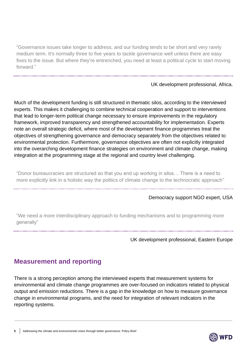"Governance issues take longer to address, and our funding tends to be short and very rarely medium term. It's normally three to five years to tackle governance well unless there are easy fixes to the issue. But where they're entrenched, you need at least a political cycle to start moving forward."

UK development professional, Africa.

Much of the development funding is still structured in thematic silos, according to the interviewed experts. This makes it challenging to combine technical cooperation and support to interventions that lead to longer-term political change necessary to ensure improvements in the regulatory framework, improved transparency and strengthened accountability for implementation. Experts note an overall strategic deficit, where most of the development finance programmes treat the objectives of strengthening governance and democracy separately from the objectives related to environmental protection. Furthermore, governance objectives are often not explicitly integrated into the overarching development finance strategies on environment and climate change, making integration at the programming stage at the regional and country level challenging.

"Donor bureaucracies are structured so that you end up working in silos… There is a need to more explicitly link in a holistic way the politics of climate change to the technocratic approach"

#### Democracy support NGO expert, USA

"We need a more interdisciplinary approach to funding mechanisms and to programming more generally"

UK development professional, Eastern Europe

### **Measurement and reporting**

There is a strong perception among the interviewed experts that measurement systems for environmental and climate change programmes are over-focused on indicators related to physical output and emission reductions. There is a gap in the knowledge on how to measure governance change in environmental programs, and the need for integration of relevant indicators in the reporting systems.

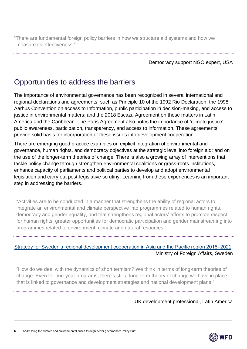"There are fundamental foreign policy barriers in how we structure aid systems and how we measure its effectiveness."

Democracy support NGO expert, USA

## Opportunities to address the barriers

The importance of environmental governance has been recognized in several international and regional declarations and agreements, such as Principle 10 of the 1992 Rio Declaration; the 1998 Aarhus Convention on access to Information, public participation in decision-making, and access to justice in environmental matters; and the 2018 Escazu Agreement on these matters in Latin America and the Caribbean. The Paris Agreement also notes the importance of 'climate justice', public awareness, participation, transparency, and access to information. These agreements provide solid basis for incorporation of these issues into development cooperation.

There are emerging good practice examples on explicit integration of environmental and governance, human rights, and democracy objectives at the strategic level into foreign aid; and on the use of the longer-term theories of change. There is also a growing array of interventions that tackle policy change through strengthen environmental coalitions or grass-roots institutions, enhance capacity of parliaments and political parties to develop and adopt environmental legislation and carry out post-legislative scrutiny. Learning from these experiences is an important step in addressing the barriers.

"Activities are to be conducted in a manner that strengthens the ability of regional actors to integrate an environmental and climate perspective into programmes related to human rights, democracy and gender equality, and that strengthens regional actors' efforts to promote respect for human rights, greater opportunities for democratic participation and gender mainstreaming into programmes related to environment, climate and natural resources."

### [Strategy for Sweden's regional development cooperation in Asia and the Pacific region 2016–2021,](https://www.government.se/4a6b76/contentassets/4be274e3951b4c269553956c442214db/strategy-for-swedens-regional-development-cooperation-in-asia-and-the-pacific-region-20162021.pdf) Ministry of Foreign Affairs, Sweden

"How do we deal with the dynamics of short termism? We think in terms of long-term theories of change. Even for one-year programs, there's still a long-term theory of change we have in place that is linked to governance and development strategies and national development plans."

UK development professional, Latin America

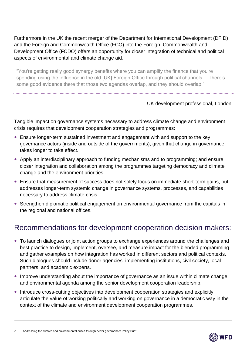Furthermore in the UK the recent merger of the Department for International Development (DFID) and the Foreign and Commonwealth Office (FCO) into the Foreign, Commonwealth and Development Office (FCDO) offers an opportunity for closer integration of technical and political aspects of environmental and climate change aid.

"You're getting really good synergy benefits where you can amplify the finance that you're spending using the influence in the old [UK] Foreign Office through political channels… There's some good evidence there that those two agendas overlap, and they should overlap."

#### UK development professional, London.

Tangible impact on governance systems necessary to address climate change and environment crisis requires that development cooperation strategies and programmes:

- Ensure longer-term sustained investment and engagement with and support to the key governance actors (inside and outside of the governments), given that change in governance takes longer to take effect.
- Apply an interdisciplinary approach to funding mechanisms and to programming; and ensure closer integration and collaboration among the programmes targeting democracy and climate change and the environment priorities.
- Ensure that measurement of success does not solely focus on immediate short-term gains, but addresses longer-term systemic change in governance systems, processes, and capabilities necessary to address climate crisis.
- Strengthen diplomatic political engagement on environmental governance from the capitals in the regional and national offices.

## Recommendations for development cooperation decision makers:

- To launch dialogues or joint action groups to exchange experiences around the challenges and best practice to design, implement, oversee, and measure impact for the blended programming and gather examples on how integration has worked in different sectors and political contexts. Such dialogues should include donor agencies, implementing institutions, civil society, local partners, and academic experts.
- Improve understanding about the importance of governance as an issue within climate change and environmental agenda among the senior development cooperation leadership.
- Introduce cross-cutting objectives into development cooperation strategies and explicitly articulate the value of working politically and working on governance in a democratic way in the context of the climate and environment development cooperation programmes.

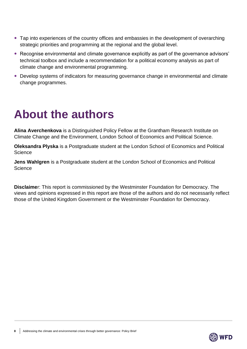- Tap into experiences of the country offices and embassies in the development of overarching strategic priorities and programming at the regional and the global level.
- Recognise environmental and climate governance explicitly as part of the governance advisors' technical toolbox and include a recommendation for a political economy analysis as part of climate change and environmental programming.
- Develop systems of indicators for measuring governance change in environmental and climate change programmes.

# **About the authors**

**Alina Averchenkova** is a Distinguished Policy Fellow at the Grantham Research Institute on Climate Change and the Environment, London School of Economics and Political Science.

**Oleksandra Plyska** is a Postgraduate student at the London School of Economics and Political **Science** 

**Jens Wahlgren** is a Postgraduate student at the London School of Economics and Political **Science** 

**Disclaime**r: This report is commissioned by the Westminster Foundation for Democracy. The views and opinions expressed in this report are those of the authors and do not necessarily reflect those of the United Kingdom Government or the Westminster Foundation for Democracy.